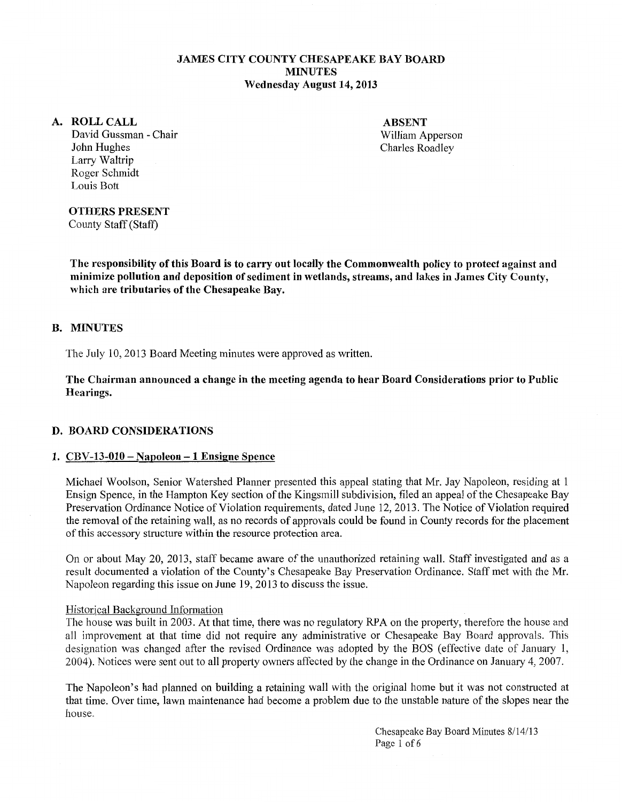### JAMES CITY COUNTY CHESAPEAKE BAY BOARD MINUTES Wednesday August 14,2013

### A. ROLLCALL

David Gussman - Chair John Hughes Larry Waltrip Roger Schmidt Louis Bott

ABSENT William Apperson Charles Roadley

### OTHERS PRESENT

County Staff (Staff)

The responsibility of this Board is to carry out locally the Commonwealth policy to protect against and minimize pollution and deposition of sediment in wetlands, streams, and lakes in James City County, which are tributaries of the Chesapeake Bay.

### B. MINUTES

The July 10, 2013 Board Meeting minutes were approved as written.

The Chairman announced a change in the meeting agenda to hear Board Considerations prior to Public Hearings.

### D. BOARD CONSIDERATIONS

### 1.  $CBV-13-010-Napoleon-1$  Ensigne Spence

Michael Woolson, Senior Watershed Planner presented this appeal stating that Mr. Jay Napoleon, residing at 1 Ensign Spence, in the Hampton Key section of the Kingsmill subdivision, filed an appeal of the Chesapeake Bay Preservation Ordinance Notice of Violation requirements, dated June 12, 2013. The Notice of Violation required the removal of the retaining wall, as no records of approvals could be found in County records for the placement of this accessory structure within the resource protection area.

On or about May 20, 2013, staff became aware of the unauthorized retaining wall. Staff investigated and as a result documented a violation of the County's Chesapeake Bay Preservation Ordinance. Staff met with the Mr. Napoleon regarding this issue on June 19,2013 to discuss the issue.

#### Historical Background Information

The house was built in 2003. At that time, there was no regulatory RPA on the property, therefore the house and all improvement at that time did not require any administrative or Chesapeake Bay Board approvals. This designation was changed after the revised Ordinance was adopted by the BOS (effective date of January 1, 2004). Notices were sent out to all property owners affected by the change in the Ordinance on January 4, 2007.

The Napoleon's had planned on building a retaining wall with the original home but it was not constructed at that time. Over time, lawn maintenance had become a problem due to the unstable nature of the slopes near the house.

> Chesapeake Bay Board Minutes 8/14/13 Page 1 of 6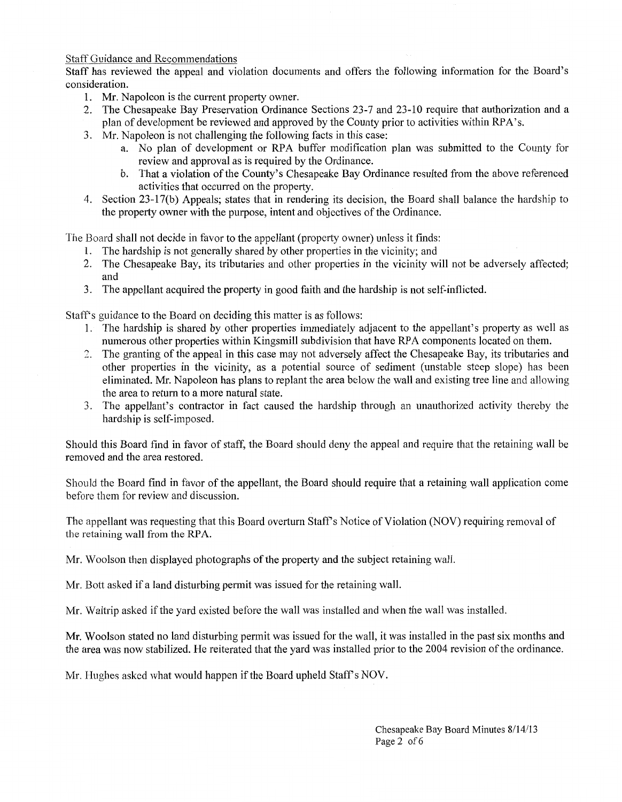Staff Guidance and Recommendations

Staff has reviewed the appeal and violation documents and offers the following information for the Board's consideration.

- 1. Mr. Napoleon is the current property owner.
- 2. The Chesapeake Bay Preservation Ordinance Sections 23-7 and 23-10 require that authorization and a plan of development be reviewed and approved by the County prior to activities within RPA's.
- 3. Mr. Napoleon is not challenging the following facts in this case:
	- a. No plan of development or RPA buffer modification plan was submitted to the County for review and approval as is required by the Ordinance.
	- b. That a violation of the County's Chesapeake Bay Ordinance resulted from the above referenced activities that occurred on the property.
- 4. Section 23-17(b) Appeals; states that in rendering its decision, the Board shall balance the hardship to the property owner with the purpose, intent and objectives of the Ordinance.

The Board shall not decide in favor to the appellant (property owner) unless it finds:

- 1. The hardship is not generally shared by other properties in the vicinity; and
- 2. The Chesapeake Bay, its tributaries and other properties in the vicinity will not be adversely affected; and
- 3. The appellant acquired the property in good faith and the hardship is not self-inflicted.

Staff's guidance to the Board on deciding this matter is as follows:

- 1. The hardship is shared by other properties immediately adjacent to the appellant's property as well as numerous other properties within Kingsmill subdivision that have RPA components located on them.
- 2. The granting of the appeal in this case may not adversely affect the Chesapeake Bay, its tributaries and other properties in the vicinity, as a potential source of sediment (unstable steep slope) has been eliminated. Mr. Napoleon has plans to replant the area below the wall and existing tree line and allowing the area to return to a more natural state.
- 3. The appellant's contractor in fact caused the hardship through an unauthorized activity thereby the hardship is self-imposed.

Should this Board find in favor of staff, the Board should deny the appeal and require that the retaining wall be removed and the area restored.

Should the Board find in favor of the appellant, the Board should require that a retaining wall application come before them for review and discussion.

The appellant was requesting that this Board overturn Staff's Notice of Violation (NOV) requiring removal of the retaining wall from the RPA.

Mr. Woolson then displayed photographs of the property and the subject retaining wall.

Mr. Bott asked if a land disturbing permit was issued for the retaining wall.

Mr. Waltrip asked if the yard existed before the wall was installed and when the wall was installed.

Mr. Woolson stated no land disturbing permit was issued for the wall, it was installed in the past six months and the area was now stabilized. He reiterated that the yard was installed prior to the 2004 revision of the ordinance.

Mr. Hughes asked what would happen if the Board upheld Staff's NOV.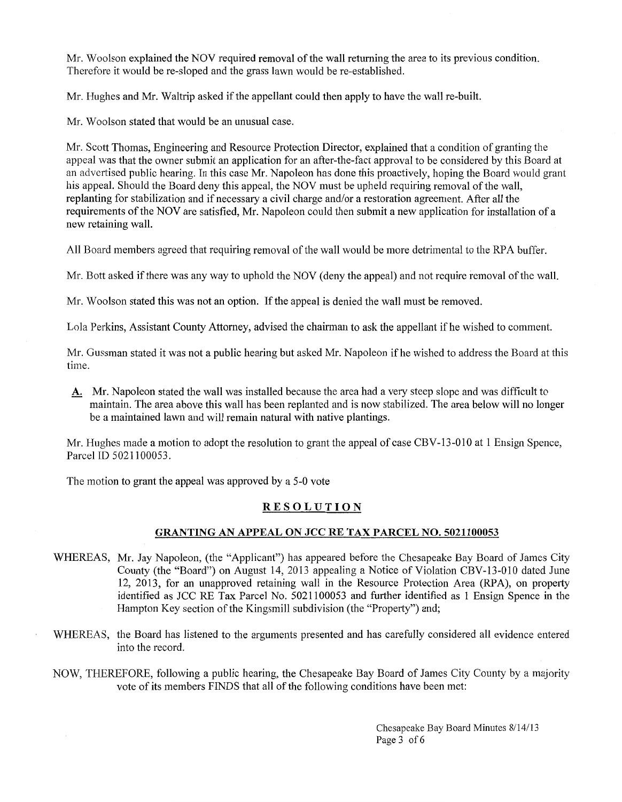Mr. Woolson explained the NOV required removal of the wall returning the area to its previous condition. Therefore it would be re-sloped and the grass lawn would be re-established.

Mr. Hughes and Mr. Waltrip asked if the appellant could then apply to have the wall re-built.

Mr. Woolson stated that would be an unusual case.

Mr. Scott Thomas, Engineering and Resource Protection Director, explained that a condition of granting the appeal was that the owner submit an application for an after-the-fact approval to be considered by this Board at an advertised public hearing. In this case Mr. Napoleon has done this proactively, hoping the Board would grant his appeal. Should the Board deny this appeal, the NOV must be upheld requiring removal of the wall, replanting for stabilization and if necessary a civil charge and/or a restoration agreement. After all the requirements of the NOV are satisfied, Mr. Napoleon could then submit a new application for installation of a new retaining wall.

All Board members agreed that requiring removal of the wall would be more detrimental to the RPA buffer.

Mr. *Batt* asked if there was any way to uphold the NOV (deny the appeal) and not require removal of the wall.

Mr. Woolson stated this was not an option. If the appeal is denied the wall must be removed.

Lola Perkins, Assistant County Attorney, advised the chairman to ask the appellant if he wished to comment.

Mr. Gussman stated it was not a public hearing but asked Mr. Napoleon if he wished to address the Board at this time.

**A.** Mr. Napoleon stated the wall was installed because the area had a very steep slope and was difficult to maintain. The area above this wall has been replanted and is now stabilized. The area below will no longer be a maintained lawn and will remain natural with native plantings.

Mr. Hughes made a motion to adopt the resolution to grant the appeal of case CBV -13-010 at 1 Ensign Spence, Parcel ID 5021100053.

The motion to grant the appeal was approved by a 5-0 vote

# **RESOLUTION**

## **GRANTING AN APPEAL ON JCC RE TAX PARCEL** NO. **5021100053**

- WHEREAS, Mr. Jay Napoleon, (the "Applicant") has appeared before the Chesapeake Bay Board of James City County (the "Board") on August 14, 2013 appealing a Notice of Violation CBV -13-010 dated June 12, 2013, for an unapproved retaining wall in the Resource Protection Area (RPA), on property identified as JCC RE Tax Parcel No. 5021100053 and further identified as 1 Ensign Spence in the Hampton Key section of the Kingsmill subdivision (the "Property") and;
- WHEREAS, the Board has listened to the arguments presented and has carefully considered all evidence entered into the record.
- NOW, THEREFORE, following a public hearing, the Chesapeake Bay Board of James City County by a majority vote of its members FINDS that all of the following conditions have been met:

Chesapeake Bay Board Minutes 8/14/13 Page 3 of 6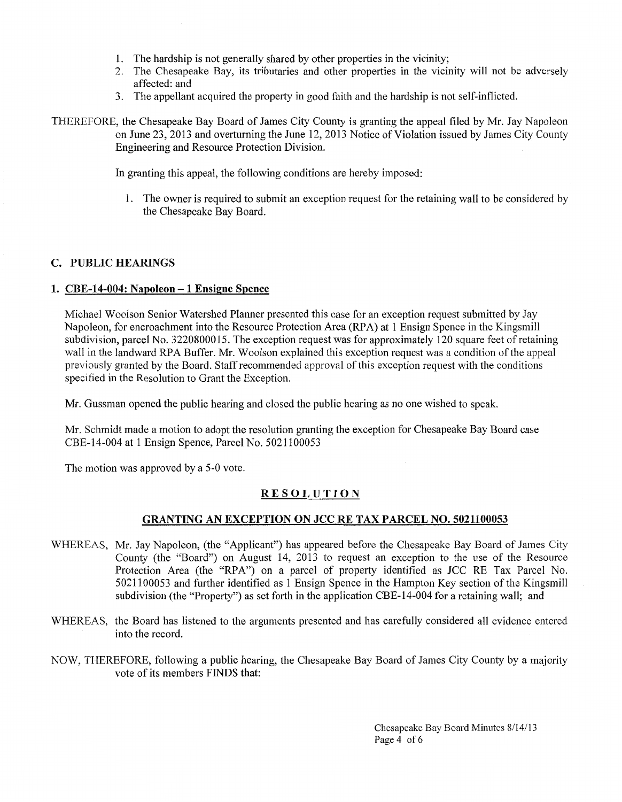- 1. The hardship is not generally shared by other properties in the vicinity;
- 2. The Chesapeake Bay, its tributaries and other properties in the vicinity will not be adversely affected: and
- 3. The appellant acquired the property in good faith and the hardship is not self-inflicted.
- THEREFORE, the Chesapeake Bay Board of James City County is granting the appeal filed by Mr. Jay Napoleon on June 23, 2013 and overturning the June 12, 2013 Notice of Violation issued by James City County Engineering and Resource Protection Division.

In granting this appeal, the following conditions are hereby imposed:

1. The owner is required to submit an exception request for the retaining wall to be considered by the Chesapeake Bay Board.

### **C. PUBLIC HEARINGS**

#### **1. CBE-14-004: Napoleon -1 Ensigne Spence**

Michael Woolson Senior Watershed Planner presented this case for an exception request submitted by Jay Napoleon, for encroachment into the Resource Protection Area (RPA) at 1 Ensign Spence in the Kingsmill subdivision, parcel No. 3220800015. The exception request was for approximately 120 square feet of retaining wall in the landward RPA Buffer. Mr. Woolson explained this exception request was a condition of the appeal previously granted by the Board. Staff recommended approval of this exception request with the conditions specified in the Resolution to Grant the Exception.

Mr. Gussman opened the public hearing and closed the public hearing as no one wished to speak.

Mr. Schmidt made a motion to adopt the resolution granting the exception for Chesapeake Bay Board case CBE-14-004 at 1 Ensign Spence, Parcel No. 5021100053

The motion was approved by a 5-0 vote.

### **RESOLUTION**

### **GRANTING AN EXCEPTION ON JCC RE TAX PARCEL NO. 5021100053**

- WHEREAS, Mr. Jay Napoleon, (the "Applicant") has appeared before the Chesapeake Bay Board of James City County (the "Board") on August 14, 2013 to request an exception to the use of the Resource Protection Area (the "RPA") on a parcel of property identified as JCC RE Tax Parcel No. 5021100053 and further identified as 1 Ensign Spence in the Hampton Key section of the Kingsmill subdivision (the "Property") as set forth in the application CBE-14-004 for a retaining wall; and
- WHEREAS, the Board has listened to the arguments presented and has carefully considered all evidence entered into the record.
- NOW, THEREFORE, following a public hearing, the Chesapeake Bay Board of James City County by a majority vote of its members FINDS that:

Chesapeake Bay Board Minutes 8/14/13 Page 4 of 6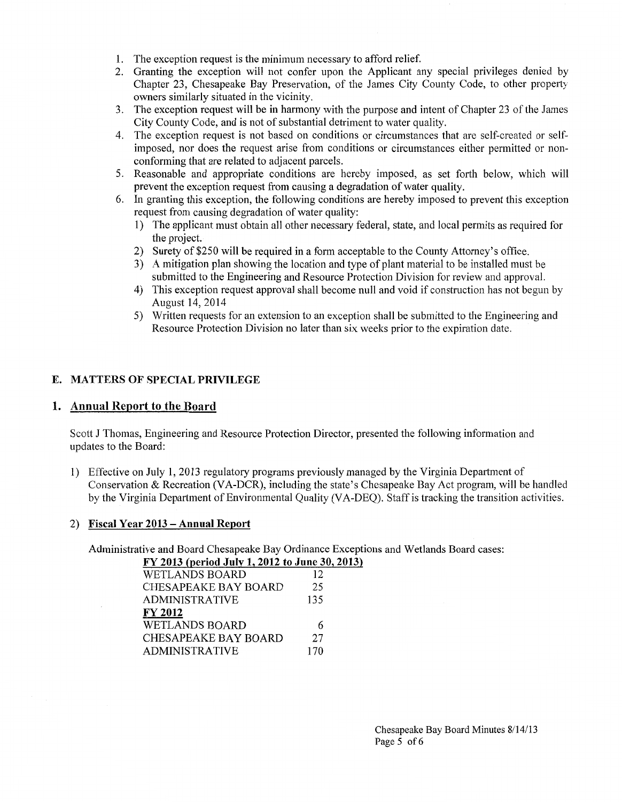- 1. The exception request is the minimum necessary to afford relief.
- 2. Granting the exception will not confer upon the Applicant any special privileges denied by Chapter 23, Chesapeake Bay Preservation, of the James City County Code, to other property owners similarly situated in the vicinity.
- 3. The exception request will be in harmony with the purpose and intent of Chapter 23 of the James City County Code, and is not of substantial detriment to water quality.
- 4. The exception request is not based on conditions or circumstances that are self-created or selfimposed, nor does the request arise from conditions or circumstances either permitted or nonconforming that are related to adjacent parcels.
- 5. Reasonable and appropriate conditions are hereby imposed, as set forth below, which will prevent the exception request from causing a degradation of water quality.
- 6. In granting this exception, the following conditions are hereby imposed to prevent this exception request from causing degradation of water quality:
	- 1) The applicant must obtain all other necessary federal, state, and local permits as required for the project.
	- 2) Surety of \$250 will be required in a form acceptable to the County Attorney's office.
	- 3) A mitigation plan showing the location and type of plant material to be installed must be submitted to the Engineering and Resource Protection Division for review and approval.
	- 4) This exception request approval shall become null and void if construction has not begun by August 14, 2014
	- 5) Written requests for an extension to an exception shall be submitted to the Engineering and Resource Protection Division no later than six weeks prior to the expiration date.

## **E. MATTERS OF SPECIAL PRIVILEGE**

### **1. Annual Report to the Board**

Scott J Thomas, Engineering and Resource Protection Director, presented the following information and updates to the Board:

1) Effective on July 1, 2013 regulatory programs previously managed by the Virginia Department of Conservation & Recreation (VA-DCR), including the state's Chesapeake Bay Act program, will be handled by the Virginia Department of Environmental Quality (VA-DEQ). Staff is tracking the transition activities.

## 2) **Fiscal Year 2013- Annual Report**

Administrative and Board Chesapeake Bay Ordinance Exceptions and Wetlands Board cases:

| FY 2013 (period July 1, 2012 to June 30, 2013) |
|------------------------------------------------|
| 12                                             |
| 25                                             |
| 135                                            |
|                                                |
| 6                                              |
| 27                                             |
| 170                                            |
|                                                |